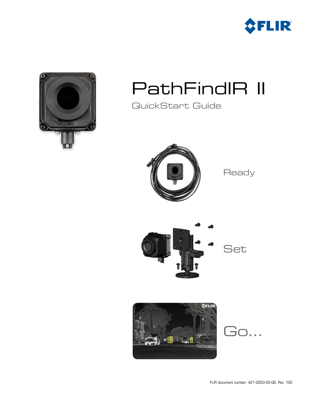



## PathFindIR II

QuickStart Guide



**Ready** 





Go...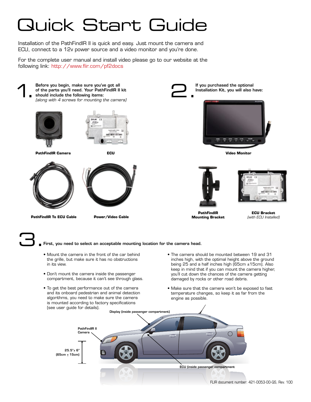# Quick Start Guide

Installation of the PathFindIR II is quick and easy. Just mount the camera and ECU, connect to a 12v power source and a video monitor and you're done.

For the complete user manual and install video please go to our website at the following link: http://www.flir.com/pf2docs



 $25.5" + 6"$ (65cm  $\pm$  15cm)

ECU (inside passenger compartment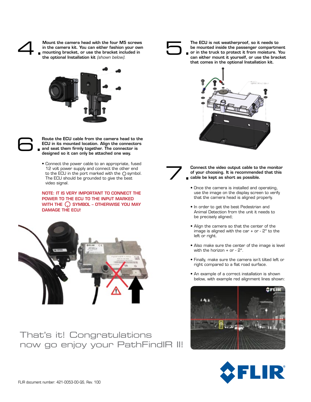Mount the camera head with the four M5 screws in the camera kit. You can either fashion your own mounting bracket, or use the bracket included in the optional Installation kit *(shown below).* Mount the camera head with the four M5 screws<br>
in the camera kit. You can either fashion your own<br>
the optional Installation kit (shown below).



6.

Route the ECU cable from the camera head to the ECU in its mounted location. Align the connectors and seat them firmly together. The connector is designed so it can only be attached one way.

• Connect the power cable to an appropriate, fused 12 volt power supply and connect the other end to the ECU in the port marked with the  $\bigcirc$  symbol. The ECU should be grounded to give the best video signal.

NOTE: IT IS VERY IMPORTANT TO CONNECT THE POWER TO THE ECU TO THE INPUT MARKED WITH THE  $\bigcap$  symbol – otherwise you may DAMAGE THE ECU!



That's it! Congratulations now go enjoy your PathFindIR II!

The ECU is not weatherproof, so it needs to be mounted inside the passenger compartment or in the truck to protect it from moisture. You can either mount it yourself, or use the bracket that comes in the optional Installation kit.





Connect the video output cable to the monitor of your choosing. It is recommended that this cable be kept as short as possible.

- Once the camera is installed and operating, use the image on the display screen to verify that the camera head is aligned properly.
- In order to get the best Pedestrian and Animal Detection from the unit it needs to be precisely aligned;
- Align the camera so that the center of the image is aligned with the car + or - 2° to the left or right.
- Also make sure the center of the image is level with the horizon  $+$  or  $-2^\circ$ .
- Finally, make sure the camera isn't tilted left or right compared to a flat road surface.
- An example of a correct installation is shown below, with example red alignment lines shown: